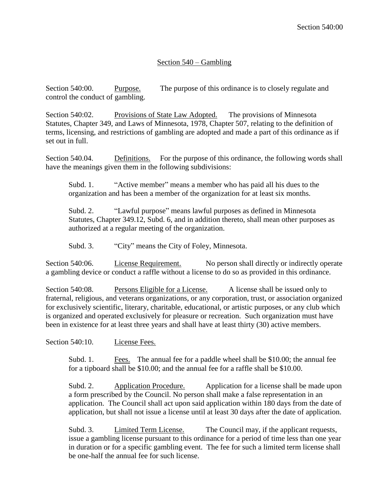## Section 540 – Gambling

Section 540:00. Purpose. The purpose of this ordinance is to closely regulate and control the conduct of gambling.

Section 540:02. Provisions of State Law Adopted. The provisions of Minnesota Statutes, Chapter 349, and Laws of Minnesota, 1978, Chapter 507, relating to the definition of terms, licensing, and restrictions of gambling are adopted and made a part of this ordinance as if set out in full.

Section 540.04. Definitions. For the purpose of this ordinance, the following words shall have the meanings given them in the following subdivisions:

Subd. 1. "Active member" means a member who has paid all his dues to the organization and has been a member of the organization for at least six months.

Subd. 2. "Lawful purpose" means lawful purposes as defined in Minnesota Statutes, Chapter 349.12, Subd. 6, and in addition thereto, shall mean other purposes as authorized at a regular meeting of the organization.

Subd. 3. "City" means the City of Foley, Minnesota.

Section 540:06. License Requirement. No person shall directly or indirectly operate a gambling device or conduct a raffle without a license to do so as provided in this ordinance.

Section 540:08. Persons Eligible for a License. A license shall be issued only to fraternal, religious, and veterans organizations, or any corporation, trust, or association organized for exclusively scientific, literary, charitable, educational, or artistic purposes, or any club which is organized and operated exclusively for pleasure or recreation. Such organization must have been in existence for at least three years and shall have at least thirty (30) active members.

Section 540:10. License Fees.

Subd. 1. Fees. The annual fee for a paddle wheel shall be \$10.00; the annual fee for a tipboard shall be \$10.00; and the annual fee for a raffle shall be \$10.00.

Subd. 2. Application Procedure. Application for a license shall be made upon a form prescribed by the Council. No person shall make a false representation in an application. The Council shall act upon said application within 180 days from the date of application, but shall not issue a license until at least 30 days after the date of application.

Subd. 3. Limited Term License. The Council may, if the applicant requests, issue a gambling license pursuant to this ordinance for a period of time less than one year in duration or for a specific gambling event. The fee for such a limited term license shall be one-half the annual fee for such license.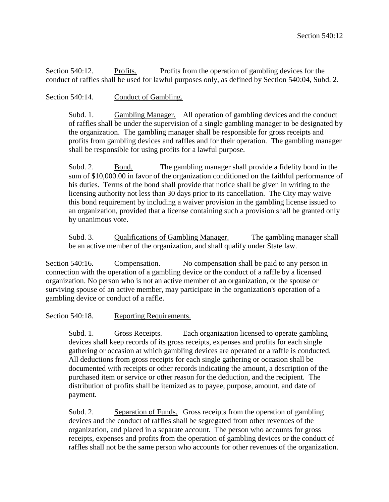Section 540:12. Profits. Profits from the operation of gambling devices for the conduct of raffles shall be used for lawful purposes only, as defined by Section 540:04, Subd. 2.

## Section 540:14. Conduct of Gambling.

Subd. 1. Gambling Manager. All operation of gambling devices and the conduct of raffles shall be under the supervision of a single gambling manager to be designated by the organization. The gambling manager shall be responsible for gross receipts and profits from gambling devices and raffles and for their operation. The gambling manager shall be responsible for using profits for a lawful purpose.

Subd. 2. Bond. The gambling manager shall provide a fidelity bond in the sum of \$10,000.00 in favor of the organization conditioned on the faithful performance of his duties. Terms of the bond shall provide that notice shall be given in writing to the licensing authority not less than 30 days prior to its cancellation. The City may waive this bond requirement by including a waiver provision in the gambling license issued to an organization, provided that a license containing such a provision shall be granted only by unanimous vote.

Subd. 3. Qualifications of Gambling Manager. The gambling manager shall be an active member of the organization, and shall qualify under State law.

Section 540:16. Compensation. No compensation shall be paid to any person in connection with the operation of a gambling device or the conduct of a raffle by a licensed organization. No person who is not an active member of an organization, or the spouse or surviving spouse of an active member, may participate in the organization's operation of a gambling device or conduct of a raffle.

Section 540:18. Reporting Requirements.

Subd. 1. Gross Receipts. Each organization licensed to operate gambling devices shall keep records of its gross receipts, expenses and profits for each single gathering or occasion at which gambling devices are operated or a raffle is conducted. All deductions from gross receipts for each single gathering or occasion shall be documented with receipts or other records indicating the amount, a description of the purchased item or service or other reason for the deduction, and the recipient. The distribution of profits shall be itemized as to payee, purpose, amount, and date of payment.

Subd. 2. Separation of Funds. Gross receipts from the operation of gambling devices and the conduct of raffles shall be segregated from other revenues of the organization, and placed in a separate account. The person who accounts for gross receipts, expenses and profits from the operation of gambling devices or the conduct of raffles shall not be the same person who accounts for other revenues of the organization.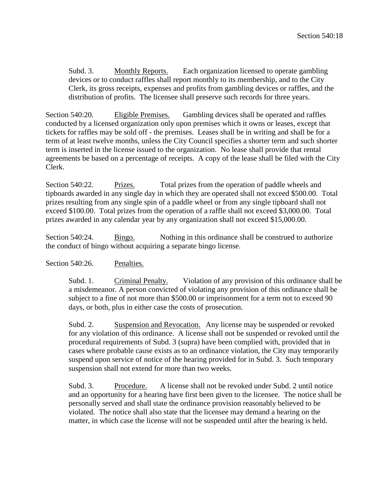Subd. 3. Monthly Reports. Each organization licensed to operate gambling devices or to conduct raffles shall report monthly to its membership, and to the City Clerk, its gross receipts, expenses and profits from gambling devices or raffles, and the distribution of profits. The licensee shall preserve such records for three years.

Section 540:20. Eligible Premises. Gambling devices shall be operated and raffles conducted by a licensed organization only upon premises which it owns or leases, except that tickets for raffles may be sold off - the premises. Leases shall be in writing and shall be for a term of at least twelve months, unless the City Council specifies a shorter term and such shorter term is inserted in the license issued to the organization. No lease shall provide that rental agreements be based on a percentage of receipts. A copy of the lease shall be filed with the City Clerk.

Section 540:22. Prizes. Total prizes from the operation of paddle wheels and tipboards awarded in any single day in which they are operated shall not exceed \$500.00. Total prizes resulting from any single spin of a paddle wheel or from any single tipboard shall not exceed \$100.00. Total prizes from the operation of a raffle shall not exceed \$3,000.00. Total prizes awarded in any calendar year by any organization shall not exceed \$15,000.00.

Section 540:24. Bingo. Nothing in this ordinance shall be construed to authorize the conduct of bingo without acquiring a separate bingo license.

## Section 540:26. Penalties.

Subd. 1. Criminal Penalty. Violation of any provision of this ordinance shall be a misdemeanor. A person convicted of violating any provision of this ordinance shall be subject to a fine of not more than \$500.00 or imprisonment for a term not to exceed 90 days, or both, plus in either case the costs of prosecution.

Subd. 2. Suspension and Revocation. Any license may be suspended or revoked for any violation of this ordinance. A license shall not be suspended or revoked until the procedural requirements of Subd. 3 (supra) have been complied with, provided that in cases where probable cause exists as to an ordinance violation, the City may temporarily suspend upon service of notice of the hearing provided for in Subd. 3. Such temporary suspension shall not extend for more than two weeks.

Subd. 3. Procedure. A license shall not be revoked under Subd. 2 until notice and an opportunity for a hearing have first been given to the licensee. The notice shall be personally served and shall state the ordinance provision reasonably believed to be violated. The notice shall also state that the licensee may demand a hearing on the matter, in which case the license will not be suspended until after the hearing is held.